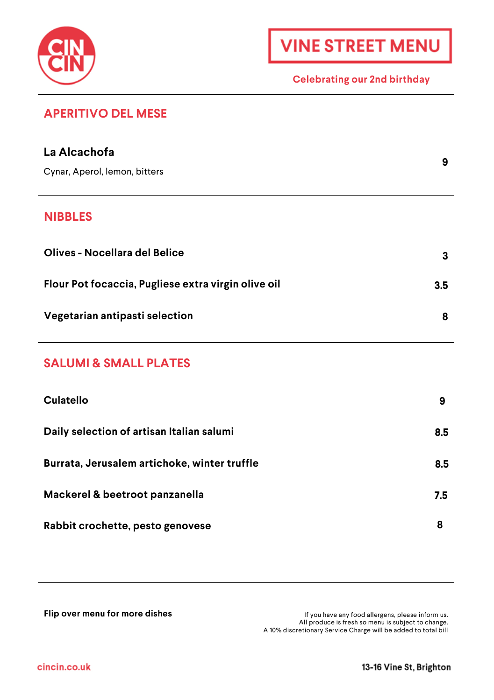

L.

#### **Celebrating our 2nd birthday**

# **APERITIVO DEL MESE**

| La Alcachofa                                        | 9   |
|-----------------------------------------------------|-----|
| Cynar, Aperol, lemon, bitters                       |     |
| <b>NIBBLES</b>                                      |     |
| Olives - Nocellara del Belice                       | 3   |
| Flour Pot focaccia, Pugliese extra virgin olive oil | 3.5 |
| Vegetarian antipasti selection                      | 8   |
| <b>SALUMI &amp; SMALL PLATES</b>                    |     |
| Culatello                                           | 9   |
| Daily selection of artisan Italian salumi           | 8.5 |
| Burrata, Jerusalem artichoke, winter truffle        | 8.5 |
| Mackerel & beetroot panzanella                      | 7.5 |
| Rabbit crochette, pesto genovese                    | 8   |

**Flip over menu for more dishes If you have any food allergens, please inform us.**